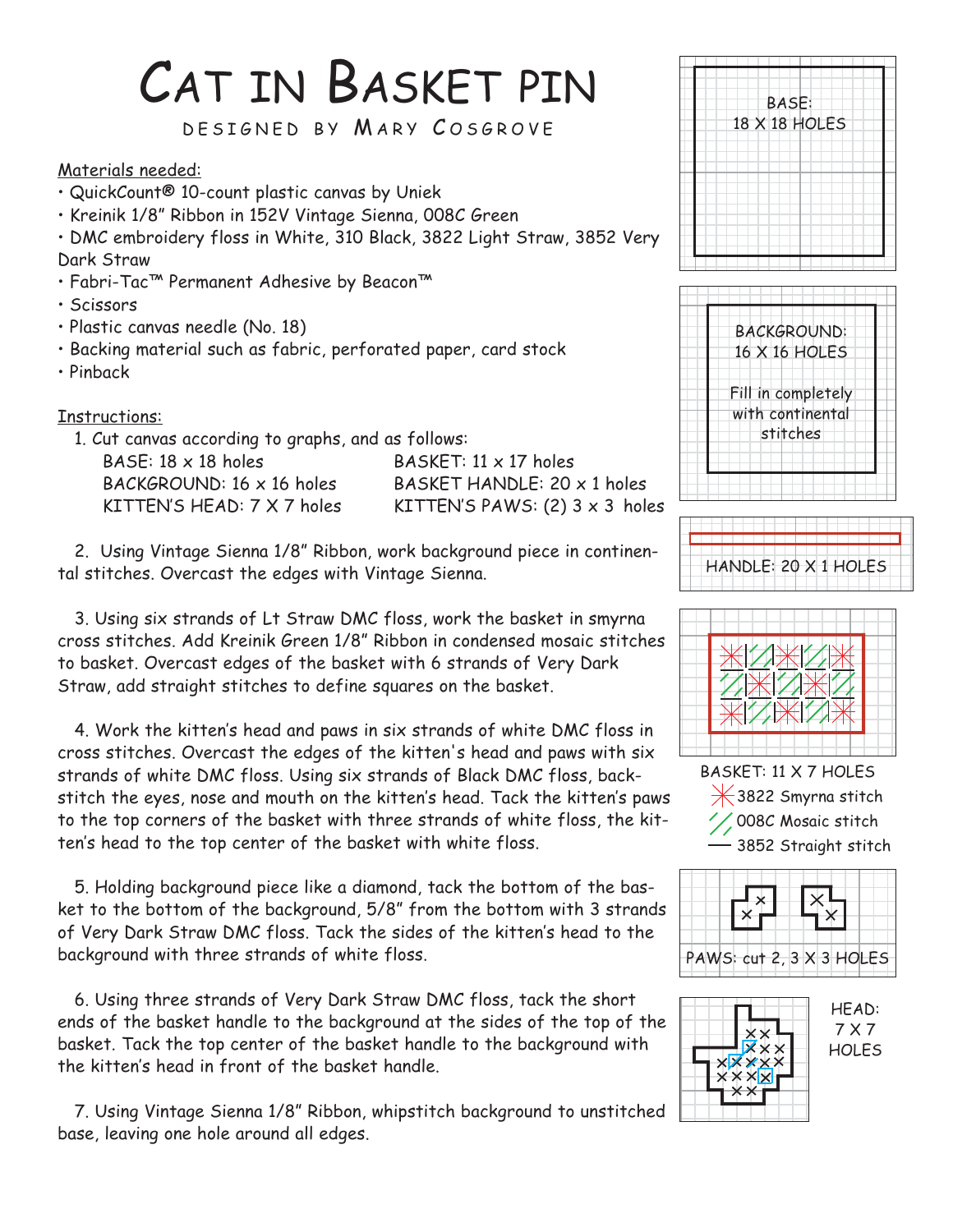## CAT IN BASKET PIN

DESIGNED BY MARY COSGROVE

Materials needed:

- QuickCount® 10-count plastic canvas by Uniek
- Kreinik 1/8" Ribbon in 152V Vintage Sienna, 008C Green

• DMC embroidery floss in White, 310 Black, 3822 Light Straw, 3852 Very Dark Straw

- Fabri-Tac™ Permanent Adhesive by Beacon™
- Scissors
- Plastic canvas needle (No. 18)
- Backing material such as fabric, perforated paper, card stock
- Pinback

Instructions:

1. Cut canvas according to graphs, and as follows:

BASE:  $18 \times 18$  holes BASKET:  $11 \times 17$  holes

BACKGROUND: 16 x 16 holes BASKET HANDLE: 20 x 1 holes KITTEN'S HEAD:  $7 \times 7$  holes KITTEN'S PAWS: (2)  $3 \times 3$  holes

2. Using Vintage Sienna 1/8" Ribbon, work background piece in continental stitches. Overcast the edges with Vintage Sienna.

3. Using six strands of Lt Straw DMC floss, work the basket in smyrna cross stitches. Add Kreinik Green 1/8" Ribbon in condensed mosaic stitches to basket. Overcast edges of the basket with 6 strands of Very Dark Straw, add straight stitches to define squares on the basket.

4. Work the kitten's head and paws in six strands of white DMC floss in cross stitches. Overcast the edges of the kitten's head and paws with six strands of white DMC floss. Using six strands of Black DMC floss, backstitch the eyes, nose and mouth on the kitten's head. Tack the kitten's paws to the top corners of the basket with three strands of white floss, the kitten's head to the top center of the basket with white floss.

5. Holding background piece like a diamond, tack the bottom of the basket to the bottom of the background, 5/8" from the bottom with 3 strands of Very Dark Straw DMC floss. Tack the sides of the kitten's head to the background with three strands of white floss.

6. Using three strands of Very Dark Straw DMC floss, tack the short ends of the basket handle to the background at the sides of the top of the basket. Tack the top center of the basket handle to the background with the kitten's head in front of the basket handle.

7. Using Vintage Sienna 1/8" Ribbon, whipstitch background to unstitched base, leaving one hole around all edges.